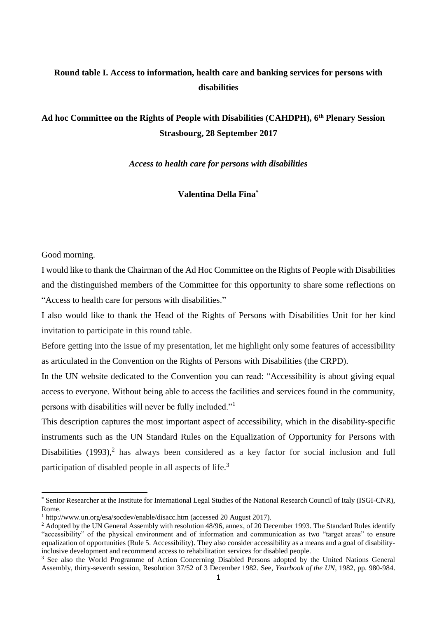# **Round table I. Access to information, health care and banking services for persons with disabilities**

# **Ad hoc Committee on the Rights of People with Disabilities (CAHDPH), 6 th Plenary Session Strasbourg, 28 September 2017**

*Access to health care for persons with disabilities*

**Valentina Della Fina\***

## Good morning.

1

I would like to thank the Chairman of the Ad Hoc Committee on the Rights of People with Disabilities and the distinguished members of the Committee for this opportunity to share some reflections on "Access to health care for persons with disabilities."

I also would like to thank the Head of the Rights of Persons with Disabilities Unit for her kind invitation to participate in this round table.

Before getting into the issue of my presentation, let me highlight only some features of accessibility as articulated in the Convention on the Rights of Persons with Disabilities (the CRPD).

In the UN website dedicated to the Convention you can read: "Accessibility is about giving equal access to everyone. Without being able to access the facilities and services found in the community, persons with disabilities will never be fully included."<sup>1</sup>

This description captures the most important aspect of accessibility, which in the disability-specific instruments such as the UN Standard Rules on the Equalization of Opportunity for Persons with Disabilities (1993),<sup>2</sup> has always been considered as a key factor for social inclusion and full participation of disabled people in all aspects of life.<sup>3</sup>

<sup>\*</sup> Senior Researcher at the Institute for International Legal Studies of the National Research Council of Italy (ISGI-CNR), Rome.

<sup>1</sup> <http://www.un.org/esa/socdev/enable/disacc.htm> (accessed 20 August 2017).

<sup>&</sup>lt;sup>2</sup> Adopted by the UN General Assembly with resolution 48/96, annex, of 20 December 1993. The Standard Rules identify "accessibility" of the physical environment and of information and communication as two "target areas" to ensure equalization of opportunities (Rule 5. Accessibility). They also consider accessibility as a means and a goal of disabilityinclusive development and recommend access to rehabilitation services for disabled people.

<sup>&</sup>lt;sup>3</sup> See also the World Programme of Action Concerning Disabled Persons adopted by the United Nations General Assembly, thirty-seventh session, Resolution 37/52 of 3 December 1982. See, *Yearbook of the UN*, 1982, pp. 980-984.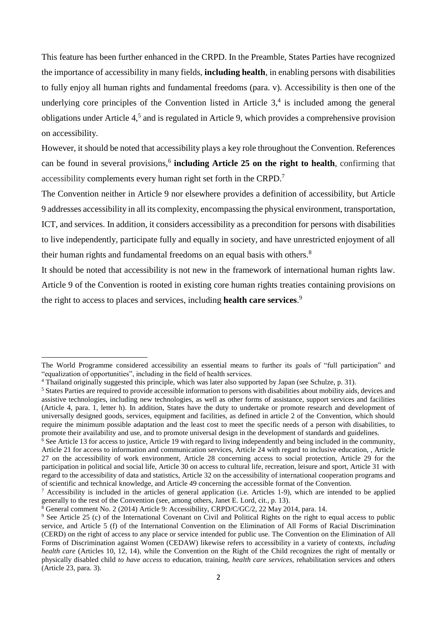This feature has been further enhanced in the CRPD. In the Preamble, States Parties have recognized the importance of accessibility in many fields, **including health**, in enabling persons with disabilities to fully enjoy all human rights and fundamental freedoms (para. v). Accessibility is then one of the underlying core principles of the Convention listed in Article  $3<sup>4</sup>$  is included among the general obligations under Article 4, 5 and is regulated in Article 9, which provides a comprehensive provision on accessibility.

However, it should be noted that accessibility plays a key role throughout the Convention. References can be found in several provisions,<sup>6</sup> including Article 25 on the right to health, confirming that accessibility complements every human right set forth in the CRPD.<sup>7</sup>

The Convention neither in Article 9 nor elsewhere provides a definition of accessibility, but Article 9 addresses accessibility in all its complexity, encompassing the physical environment, transportation, ICT, and services. In addition, it considers accessibility as a precondition for persons with disabilities to live independently, participate fully and equally in society, and have unrestricted enjoyment of all their human rights and fundamental freedoms on an equal basis with others.<sup>8</sup>

It should be noted that accessibility is not new in the framework of international human rights law. Article 9 of the Convention is rooted in existing core human rights treaties containing provisions on the right to access to places and services, including **health care services**. 9

The World Programme considered accessibility an essential means to further its goals of "full participation" and "equalization of opportunities", including in the field of health services.

<sup>4</sup> Thailand originally suggested this principle, which was later also supported by Japan (see Schulze, p. 31).

<sup>5</sup> States Parties are required to provide accessible information to persons with disabilities about mobility aids, devices and assistive technologies, including new technologies, as well as other forms of assistance, support services and facilities (Article 4, para. 1, letter h). In addition, States have the duty to undertake or promote research and development of universally designed goods, services, equipment and facilities, as defined in article 2 of the Convention, which should require the minimum possible adaptation and the least cost to meet the specific needs of a person with disabilities, to promote their availability and use, and to promote universal design in the development of standards and guidelines.

<sup>&</sup>lt;sup>6</sup> See Article 13 for access to justice, Article 19 with regard to living independently and being included in the community, Article 21 for access to information and communication services, Article 24 with regard to inclusive education, , Article 27 on the accessibility of work environment, Article 28 concerning access to social protection, Article 29 for the participation in political and social life, Article 30 on access to cultural life, recreation, leisure and sport, Article 31 with regard to the accessibility of data and statistics, Article 32 on the accessibility of international cooperation programs and of scientific and technical knowledge, and Article 49 concerning the accessible format of the Convention.

<sup>7</sup> Accessibility is included in the articles of general application (i.e. Articles 1-9), which are intended to be applied generally to the rest of the Convention (see, among others, Janet E. Lord, cit., p. 13).

 $8$  General comment No. 2 (2014) Article 9: Accessibility, CRPD/C/GC/2, 22 May 2014, para. 14.

<sup>9</sup> See Article 25 (c) of the International Covenant on Civil and Political Rights on the right to equal access to public service, and Article 5 (f) of the International Convention on the Elimination of All Forms of Racial Discrimination (CERD) on the right of access to any place or service intended for public use. The Convention on the Elimination of All Forms of Discrimination against Women (CEDAW) likewise refers to accessibility in a variety of contexts, *including health care* (Articles 10, 12, 14), while the Convention on the Right of the Child recognizes the right of mentally or physically disabled child *to have access* to education, training, *health care services*, rehabilitation services and others (Article 23, para. 3).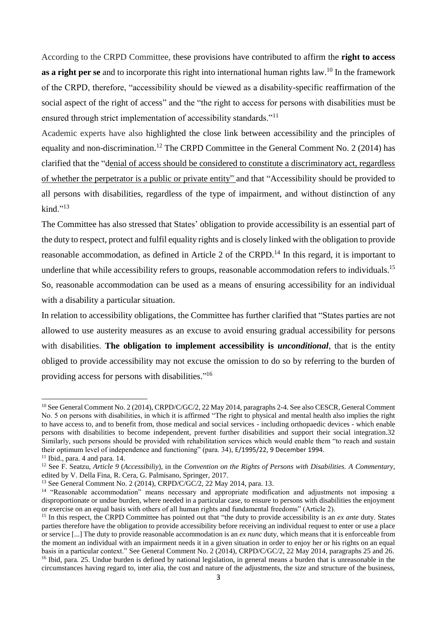According to the CRPD Committee, these provisions have contributed to affirm the **right to access**  as a right per se and to incorporate this right into international human rights law.<sup>10</sup> In the framework of the CRPD, therefore, "accessibility should be viewed as a disability-specific reaffirmation of the social aspect of the right of access" and the "the right to access for persons with disabilities must be ensured through strict implementation of accessibility standards."<sup>11</sup>

Academic experts have also highlighted the close link between accessibility and the principles of equality and non-discrimination.<sup>12</sup> The CRPD Committee in the General Comment No. 2 (2014) has clarified that the "denial of access should be considered to constitute a discriminatory act, regardless of whether the perpetrator is a public or private entity" and that "Accessibility should be provided to all persons with disabilities, regardless of the type of impairment, and without distinction of any  $\text{kind.}$ "13

The Committee has also stressed that States' obligation to provide accessibility is an essential part of the duty to respect, protect and fulfil equality rights and is closely linked with the obligation to provide reasonable accommodation, as defined in Article 2 of the CRPD.<sup>14</sup> In this regard, it is important to underline that while accessibility refers to groups, reasonable accommodation refers to individuals.<sup>15</sup> So, reasonable accommodation can be used as a means of ensuring accessibility for an individual with a disability a particular situation.

In relation to accessibility obligations, the Committee has further clarified that "States parties are not allowed to use austerity measures as an excuse to avoid ensuring gradual accessibility for persons with disabilities. **The obligation to implement accessibility is** *unconditional*, that is the entity obliged to provide accessibility may not excuse the omission to do so by referring to the burden of providing access for persons with disabilities."<sup>16</sup>

<sup>&</sup>lt;sup>10</sup> See General Comment No. 2 (2014), CRPD/C/GC/2, 22 May 2014, paragraphs 2-4. See also CESCR, General Comment No. 5 on persons with disabilities, in which it is affirmed "The right to physical and mental health also implies the right to have access to, and to benefit from, those medical and social services - including orthopaedic devices - which enable persons with disabilities to become independent, prevent further disabilities and support their social integration.32 Similarly, such persons should be provided with rehabilitation services which would enable them "to reach and sustain their optimum level of independence and functioning" (para. 34), E/1995/22, 9 December 1994.

 $11$  Ibid., para. 4 and para. 14.

<sup>12</sup> See F. Seatzu, *Article 9* (*Accessibiliy*), in the *Convention on the Rights of Persons with Disabilities. A Commentary*, edited by V. Della Fina, R. Cera, G. Palmisano, Springer, 2017.

<sup>13</sup> See General Comment No. 2 (2014), CRPD/C/GC/2, 22 May 2014, para. 13.

<sup>&</sup>lt;sup>14</sup> "Reasonable accommodation" means necessary and appropriate modification and adjustments not imposing a disproportionate or undue burden, where needed in a particular case, to ensure to persons with disabilities the enjoyment or exercise on an equal basis with others of all human rights and fundamental freedoms" (Article 2).

<sup>&</sup>lt;sup>15</sup> In this respect, the CRPD Committee has pointed out that "the duty to provide accessibility is an *ex ante* duty. States parties therefore have the obligation to provide accessibility before receiving an individual request to enter or use a place or service [...] The duty to provide reasonable accommodation is an *ex nunc* duty, which means that it is enforceable from the moment an individual with an impairment needs it in a given situation in order to enjoy her or his rights on an equal basis in a particular context." See General Comment No. 2 (2014), CRPD/C/GC/2, 22 May 2014, paragraphs 25 and 26. <sup>16</sup> Ibid, para. 25. Undue burden is defined by national legislation, in general means a burden that is unreasonable in the circumstances having regard to, inter alia, the cost and nature of the adjustments, the size and structure of the business,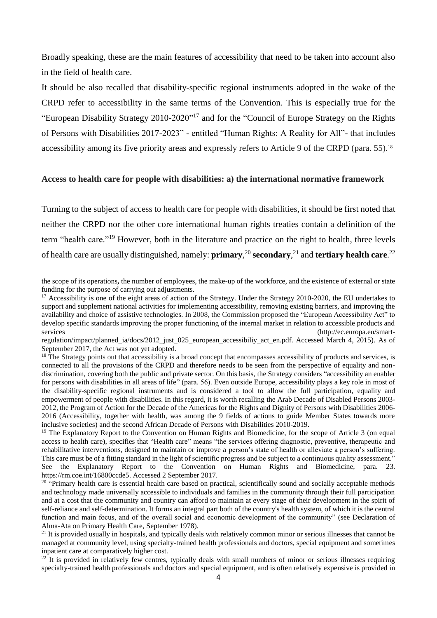Broadly speaking, these are the main features of accessibility that need to be taken into account also in the field of health care.

It should be also recalled that disability-specific regional instruments adopted in the wake of the CRPD refer to accessibility in the same terms of the Convention. This is especially true for the "European Disability Strategy 2010-2020"<sup>17</sup> and for the "Council of Europe Strategy on the Rights of Persons with Disabilities 2017-2023" - entitled "Human Rights: A Reality for All"- that includes accessibility among its five priority areas and expressly refers to Article 9 of the CRPD (para. 55).<sup>18</sup>

## **Access to health care for people with disabilities: a) the international normative framework**

Turning to the subject of access to health care for people with disabilities, it should be first noted that neither the CRPD nor the other core international human rights treaties contain a definition of the term "health care."<sup>19</sup> However, both in the literature and practice on the right to health, three levels of health care are usually distinguished, namely: **primary***,* <sup>20</sup> **secondary**, <sup>21</sup> and **tertiary health care**. 22

 $\overline{a}$ 

the scope of its operations**,** the number of employees, the make-up of the workforce, and the existence of external or state funding for the purpose of carrying out adjustments.

<sup>&</sup>lt;sup>17</sup> Accessibility is one of the eight areas of action of the Strategy. Under the Strategy 2010-2020, the EU undertakes to support and supplement national activities for implementing accessibility, removing existing barriers, and improving the availability and choice of assistive technologies. In 2008, the Commission proposed the "European Accessibility Act" to develop specific standards improving the proper functioning of the internal market in relation to accessible products and services (http://ec.europa.eu/smart-

regulation/impact/planned\_ia/docs/2012\_just\_025\_european\_accessibiliy\_act\_en.pdf. Accessed March 4, 2015). As of September 2017, the Act was not yet adopted.

 $18$  The Strategy points out that accessibility is a broad concept that encompasses accessibility of products and services, is connected to all the provisions of the CRPD and therefore needs to be seen from the perspective of equality and nondiscrimination, covering both the public and private sector. On this basis, the Strategy considers "accessibility an enabler for persons with disabilities in all areas of life" (para. 56). Even outside Europe, accessibility plays a key role in most of the disability-specific regional instruments and is considered a tool to allow the full participation, equality and empowerment of people with disabilities. In this regard, it is worth recalling the Arab Decade of Disabled Persons 2003- 2012, the Program of Action for the Decade of the Americas for the Rights and Dignity of Persons with Disabilities 2006- 2016 (Accessibility, together with health, was among the 9 fields of actions to guide Member States towards more inclusive societies) and the second African Decade of Persons with Disabilities 2010-2019.

<sup>&</sup>lt;sup>19</sup> The Explanatory Report to the Convention on Human Rights and Biomedicine, for the scope of Article 3 (on equal access to health care), specifies that "Health care" means "the services offering diagnostic, preventive, therapeutic and rehabilitative interventions, designed to maintain or improve a person's state of health or alleviate a person's suffering. This care must be of a fitting standard in the light of scientific progress and be subject to a continuous quality assessment." See the Explanatory Report to the Convention on Human Rights and Biomedicine, para. 23. [https://rm.coe.int/16800ccde5.](https://rm.coe.int/16800ccde5) Accessed 2 September 2017.

 $20$  "Primary health care is essential health care based on practical, scientifically sound and socially acceptable methods and technology made universally accessible to individuals and families in the community through their full participation and at a cost that the community and country can afford to maintain at every stage of their development in the spirit of self-reliance and self-determination. It forms an integral part both of the country's health system, of which it is the central function and main focus, and of the overall social and economic development of the community" (see Declaration of Alma-Ata on Primary Health Care, September 1978).

<sup>&</sup>lt;sup>21</sup> It is provided usually in hospitals, and typically deals with relatively common minor or serious illnesses that cannot be managed at community level, using specialty-trained health professionals and doctors, special equipment and sometimes inpatient care at comparatively higher cost.

 $22$  It is provided in relatively few centres, typically deals with small numbers of minor or serious illnesses requiring specialty-trained health professionals and doctors and special equipment, and is often relatively expensive is provided in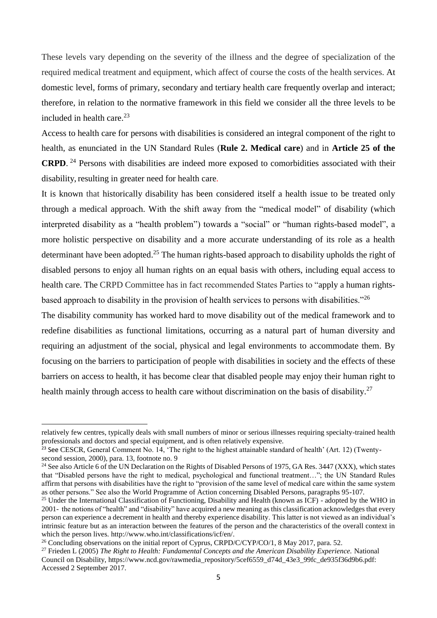These levels vary depending on the severity of the illness and the degree of specialization of the required medical treatment and equipment, which affect of course the costs of the health services. At domestic level, forms of primary, secondary and tertiary health care frequently overlap and interact; therefore, in relation to the normative framework in this field we consider all the three levels to be included in health care. $^{23}$ 

Access to health care for persons with disabilities is considered an integral component of the right to health, as enunciated in the UN Standard Rules (**Rule 2. Medical care**) and in **Article 25 of the CRPD**. <sup>24</sup> Persons with disabilities are indeed more exposed to comorbidities associated with their disability, resulting in greater need for health care.

It is known that historically disability has been considered itself a health issue to be treated only through a medical approach. With the shift away from the "medical model" of disability (which interpreted disability as a "health problem") towards a "social" or "human rights-based model", a more holistic perspective on disability and a more accurate understanding of its role as a health determinant have been adopted.<sup>25</sup> The human rights-based approach to disability upholds the right of disabled persons to enjoy all human rights on an equal basis with others, including equal access to health care. The CRPD Committee has in fact recommended States Parties to "apply a human rightsbased approach to disability in the provision of health services to persons with disabilities."<sup>26</sup>

The disability community has worked hard to move disability out of the medical framework and to redefine disabilities as functional limitations, occurring as a natural part of human diversity and requiring an adjustment of the social, physical and legal environments to accommodate them. By focusing on the barriers to participation of people with disabilities in society and the effects of these barriers on access to health, it has become clear that disabled people may enjoy their human right to health mainly through access to health care without discrimination on the basis of disability.<sup>27</sup>

relatively few centres, typically deals with small numbers of minor or serious illnesses requiring specialty-trained health professionals and doctors and special equipment, and is often relatively expensive.

<sup>&</sup>lt;sup>23</sup> See CESCR, General Comment No. 14, 'The right to the highest attainable standard of health' (Art. 12) (Twentysecond session, 2000), para. 13, footnote no. 9

<sup>&</sup>lt;sup>24</sup> See also Article 6 of the UN Declaration on the Rights of Disabled Persons of 1975, GA Res. 3447 (XXX), which states that "Disabled persons have the right to medical, psychological and functional treatment…"; the UN Standard Rules affirm that persons with disabilities have the right to "provision of the same level of medical care within the same system as other persons." See also the World Programme of Action concerning Disabled Persons, paragraphs 95-107.

<sup>&</sup>lt;sup>25</sup> Under the International Classification of Functioning, Disability and Health (known as ICF) - adopted by the WHO in 2001- the notions of "health" and "disability" have acquired a new meaning as this classification acknowledges that every person can experience a decrement in health and thereby experience disability. This latter is not viewed as an individual's intrinsic feature but as an interaction between the features of the person and the characteristics of the overall context in which the person lives. http://www.who.int/classifications/icf/en/.

<sup>&</sup>lt;sup>26</sup> Concluding observations on the initial report of Cyprus, CRPD/C/CYP/CO/1, 8 May 2017, para. 52.

<sup>27</sup> Frieden L (2005) *The Right to Health: Fundamental Concepts and the American Disability Experience.* National Council on Disability, https://www.ncd.gov/rawmedia\_repository/5cef6559\_d74d\_43e3\_99fc\_de935f36d9b6.pdf: Accessed 2 September 2017.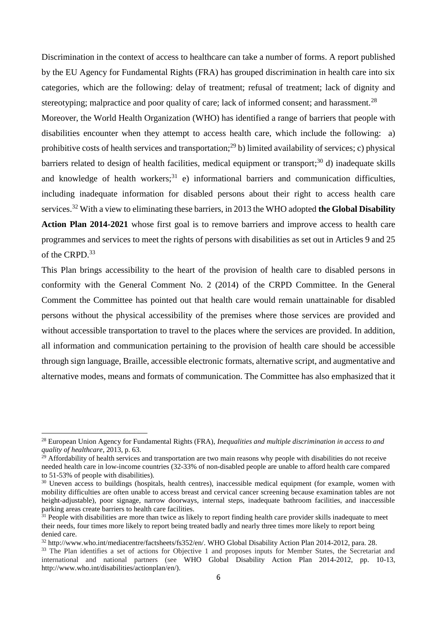Discrimination in the context of access to healthcare can take a number of forms. A report published by the EU Agency for Fundamental Rights (FRA) has grouped discrimination in health care into six categories, which are the following: delay of treatment; refusal of treatment; lack of dignity and stereotyping; malpractice and poor quality of care; lack of informed consent; and harassment.<sup>28</sup>

Moreover, the World Health Organization (WHO) has identified a range of barriers that people with disabilities encounter when they attempt to access health care, which include the following: a) prohibitive costs of health services and transportation;<sup>29</sup> b) limited availability of services; c) physical barriers related to design of health facilities, medical equipment or transport;<sup>30</sup> d) inadequate skills and knowledge of health workers;<sup>31</sup> e) informational barriers and communication difficulties, including inadequate information for disabled persons about their right to access health care services.<sup>32</sup> With a view to eliminating these barriers, in 2013 the WHO adopted **the Global Disability Action Plan 2014-2021** whose first goal is to remove barriers and improve access to health care

programmes and services to meet the rights of persons with disabilities as set out in Articles 9 and 25 of the CRPD. 33

This Plan brings accessibility to the heart of the provision of health care to disabled persons in conformity with the General Comment No. 2 (2014) of the CRPD Committee. In the General Comment the Committee has pointed out that health care would remain unattainable for disabled persons without the physical accessibility of the premises where those services are provided and without accessible transportation to travel to the places where the services are provided. In addition, all information and communication pertaining to the provision of health care should be accessible through sign language, Braille, accessible electronic formats, alternative script, and augmentative and alternative modes, means and formats of communication. The Committee has also emphasized that it

 $\overline{a}$ 

<sup>28</sup> European Union Agency for Fundamental Rights (FRA), *Inequalities and multiple discrimination in access to and quality of healthcare*, 2013, p. 63.

 $^{29}$  Affordability of health services and transportation are two main reasons why people with disabilities do not receive needed health care in low-income countries (32-33% of non-disabled people are unable to afford health care compared to 51-53% of people with disabilities).

<sup>&</sup>lt;sup>30</sup> Uneven access to buildings (hospitals, health centres), inaccessible medical equipment (for example, women with mobility difficulties are often unable to access breast and cervical cancer screening because examination tables are not height-adjustable), poor signage, narrow doorways, internal steps, inadequate bathroom facilities, and inaccessible parking areas create barriers to health care facilities.

<sup>&</sup>lt;sup>31</sup> People with disabilities are more than twice as likely to report finding health care provider skills inadequate to meet their needs, four times more likely to report being treated badly and nearly three times more likely to report being denied care.

<sup>32</sup> [http://www.who.int/mediacentre/factsheets/fs352/en/.](http://www.who.int/mediacentre/factsheets/fs352/en/) WHO Global Disability Action Plan 2014-2012, para. 28.

<sup>&</sup>lt;sup>33</sup> The Plan identifies a set of actions for Objective 1 and proposes inputs for Member States, the Secretariat and international and national partners (see WHO Global Disability Action Plan 2014-2012, pp. 10-13, http://www.who.int/disabilities/actionplan/en/).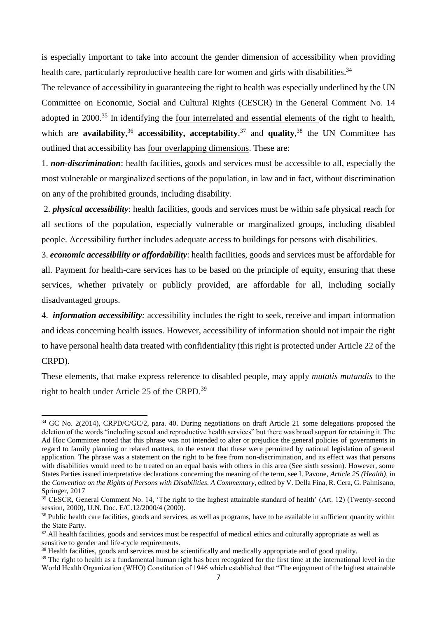is especially important to take into account the gender dimension of accessibility when providing health care, particularly reproductive health care for women and girls with disabilities.<sup>34</sup>

The relevance of accessibility in guaranteeing the right to health was especially underlined by the UN Committee on Economic, Social and Cultural Rights (CESCR) in the General Comment No. 14 adopted in 2000.<sup>35</sup> In identifying the <u>four interrelated and essential elements</u> of the right to health, which are **availability**,<sup>36</sup> **accessibility, acceptability**,<sup>37</sup> and **quality**,<sup>38</sup> the UN Committee has outlined that accessibility has four overlapping dimensions. These are:

1. *non-discrimination*: health facilities, goods and services must be accessible to all, especially the most vulnerable or marginalized sections of the population, in law and in fact, without discrimination on any of the prohibited grounds, including disability.

2. *physical accessibility*: health facilities, goods and services must be within safe physical reach for all sections of the population, especially vulnerable or marginalized groups, including disabled people. Accessibility further includes adequate access to buildings for persons with disabilities.

3. *economic accessibility or affordability*: health facilities, goods and services must be affordable for all*.* Payment for health-care services has to be based on the principle of equity, ensuring that these services, whether privately or publicly provided, are affordable for all, including socially disadvantaged groups.

4. *information accessibility:* accessibility includes the right to seek, receive and impart information and ideas concerning health issues*.* However, accessibility of information should not impair the right to have personal health data treated with confidentiality (this right is protected under Article 22 of the CRPD).

These elements, that make express reference to disabled people, may apply *mutatis mutandis* to the right to health under Article 25 of the CRPD.<sup>39</sup>

1

<sup>34</sup> GC No. 2(2014), CRPD/C/GC/2, para. 40. During negotiations on draft Article 21 some delegations proposed the deletion of the words "including sexual and reproductive health services" but there was broad support for retaining it. The Ad Hoc Committee noted that this phrase was not intended to alter or prejudice the general policies of governments in regard to family planning or related matters, to the extent that these were permitted by national legislation of general application. The phrase was a statement on the right to be free from non-discrimination, and its effect was that persons with disabilities would need to be treated on an equal basis with others in this area (See sixth session). However, some States Parties issued interpretative declarations concerning the meaning of the term, see I. Pavone, *Article 25 (Health)*, in the *Convention on the Rights of Persons with Disabilities. A Commentary*, edited by V. Della Fina, R. Cera, G. Palmisano, Springer, 2017

<sup>&</sup>lt;sup>35</sup> CESCR, General Comment No. 14, 'The right to the highest attainable standard of health' (Art. 12) (Twenty-second session, 2000), U.N. Doc. E/C.12/2000/4 (2000).

<sup>&</sup>lt;sup>36</sup> Public health care facilities, goods and services, as well as programs, have to be available in sufficient quantity within the State Party.

<sup>&</sup>lt;sup>37</sup> All health facilities, goods and services must be respectful of medical ethics and culturally appropriate as well as sensitive to gender and life-cycle requirements.

<sup>&</sup>lt;sup>38</sup> Health facilities, goods and services must be scientifically and medically appropriate and of good quality.

<sup>&</sup>lt;sup>39</sup> The right to health as a fundamental human right has been recognized for the first time at the international level in the World Health Organization (WHO) Constitution of 1946 which established that "The enjoyment of the highest attainable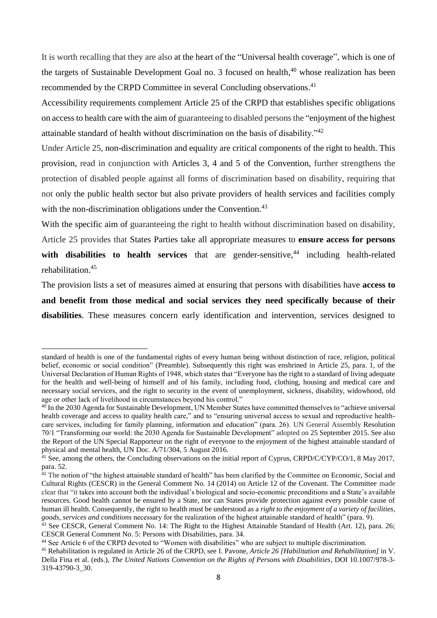It is worth recalling that they are also at the heart of the "Universal health coverage", which is one of the targets of Sustainable Development Goal no. 3 focused on health, <sup>40</sup> whose realization has been recommended by the CRPD Committee in several Concluding observations.<sup>41</sup>

Accessibility requirements complement Article 25 of the CRPD that establishes specific obligations on access to health care with the aim of guaranteeing to disabled personsthe "enjoyment of the highest attainable standard of health without discrimination on the basis of disability."<sup>42</sup>

Under Article 25, non-discrimination and equality are critical components of the right to health. This provision, read in conjunction with Articles 3, 4 and 5 of the Convention, further strengthens the protection of disabled people against all forms of discrimination based on disability, requiring that not only the public health sector but also private providers of health services and facilities comply with the non-discrimination obligations under the Convention.<sup>43</sup>

With the specific aim of guaranteeing the right to health without discrimination based on disability, Article 25 provides that States Parties take all appropriate measures to **ensure access for persons**  with disabilities to health services that are gender-sensitive,<sup>44</sup> including health-related rehabilitation. 45

The provision lists a set of measures aimed at ensuring that persons with disabilities have **access to and benefit from those medical and social services they need specifically because of their disabilities**. These measures concern early identification and intervention, services designed to

standard of health is one of the fundamental rights of every human being without distinction of race, religion, political belief, economic or social condition" (Preamble). Subsequently this right was enshrined in Article 25, para. 1, of the Universal Declaration of Human Rights of 1948, which states that "Everyone has the right to a standard of living adequate for the health and well-being of himself and of his family, including food, clothing, housing and medical care and necessary social services, and the right to security in the event of unemployment, sickness, disability, widowhood, old age or other lack of livelihood in circumstances beyond his control."

<sup>&</sup>lt;sup>40</sup> In the 2030 Agenda for Sustainable Development, UN Member States have committed themselves to "achieve universal" health coverage and access to quality health care," and to "ensuring universal access to sexual and reproductive healthcare services, including for family planning, information and education" (para. 26). UN General Assembly Resolution 70/1 "Transforming our world: the 2030 Agenda for Sustainable Development" adopted on 25 September 2015. See also the Report of the UN Special Rapporteur on the right of everyone to the enjoyment of the highest attainable standard of physical and mental health, UN Doc. A/71/304, 5 August 2016.

<sup>&</sup>lt;sup>41</sup> See, among the others, the Concluding observations on the initial report of Cyprus, CRPD/C/CYP/CO/1, 8 May 2017, para. 52.

 $42$  The notion of "the highest attainable standard of health" has been clarified by the Committee on Economic, Social and Cultural Rights (CESCR) in the General Comment No. 14 (2014) on Article 12 of the Covenant. The Committee made clear that "it takes into account both the individual's biological and socio-economic preconditions and a State's available resources. Good health cannot be ensured by a State, nor can States provide protection against every possible cause of human ill health. Consequently, the right to health must be understood as a *right to the enjoyment of a variety of facilities, goods, services and conditions* necessary for the realization of the highest attainable standard of health" (para. 9).

<sup>&</sup>lt;sup>43</sup> See CESCR, General Comment No. 14: The Right to the Highest Attainable Standard of Health (Art. 12), para. 26; CESCR General Comment No. 5: Persons with Disabilities, para. 34.

<sup>44</sup> See Article 6 of the CRPD devoted to "Women with disabilities" who are subject to multiple discrimination.

<sup>45</sup> Rehabilitation is regulated in Article 26 of the CRPD, see I. Pavone, *Article 26 [Habilitation and Rehabilitation]* in V. Della Fina et al. (eds.), *The United Nations Convention on the Rights of Persons with Disabilities*, DOI 10.1007/978-3- 319-43790-3\_30.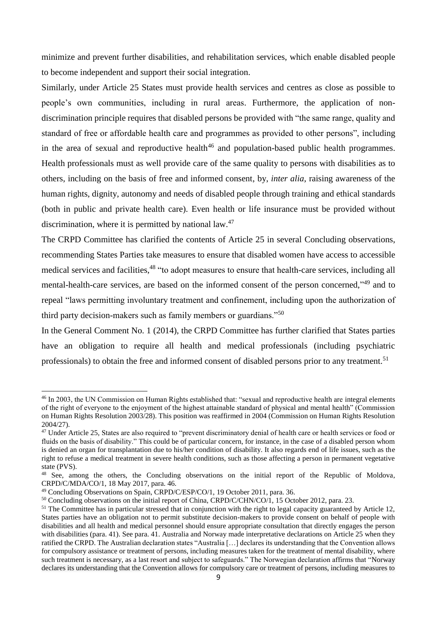minimize and prevent further disabilities, and rehabilitation services, which enable disabled people to become independent and support their social integration.

Similarly, under Article 25 States must provide health services and centres as close as possible to people's own communities, including in rural areas. Furthermore, the application of nondiscrimination principle requires that disabled persons be provided with "the same range, quality and standard of free or affordable health care and programmes as provided to other persons", including in the area of sexual and reproductive health<sup>46</sup> and population-based public health programmes. Health professionals must as well provide care of the same quality to persons with disabilities as to others, including on the basis of free and informed consent, by, *inter alia*, raising awareness of the human rights, dignity, autonomy and needs of disabled people through training and ethical standards (both in public and private health care). Even health or life insurance must be provided without discrimination, where it is permitted by national law.<sup>47</sup>

The CRPD Committee has clarified the contents of Article 25 in several Concluding observations, recommending States Parties take measures to ensure that disabled women have access to accessible medical services and facilities,<sup>48</sup> "to adopt measures to ensure that health-care services, including all mental-health-care services, are based on the informed consent of the person concerned,"<sup>49</sup> and to repeal "laws permitting involuntary treatment and confinement, including upon the authorization of third party decision-makers such as family members or guardians."<sup>50</sup>

In the General Comment No. 1 (2014), the CRPD Committee has further clarified that States parties have an obligation to require all health and medical professionals (including psychiatric professionals) to obtain the free and informed consent of disabled persons prior to any treatment.<sup>51</sup>

1

<sup>&</sup>lt;sup>46</sup> In 2003, the UN Commission on Human Rights established that: "sexual and reproductive health are integral elements of the right of everyone to the enjoyment of the highest attainable standard of physical and mental health" (Commission on Human Rights Resolution 2003/28). This position was reaffirmed in 2004 (Commission on Human Rights Resolution 2004/27).

<sup>&</sup>lt;sup>47</sup> Under Article 25, States are also required to "prevent discriminatory denial of health care or health services or food or fluids on the basis of disability." This could be of particular concern, for instance, in the case of a disabled person whom is denied an organ for transplantation due to his/her condition of disability. It also regards end of life issues, such as the right to refuse a medical treatment in severe health conditions, such as those affecting a person in permanent vegetative state (PVS).

<sup>48</sup> See, among the others, the Concluding observations on the initial report of the Republic of Moldova, CRPD/C/MDA/CO/1, 18 May 2017, para. 46.

<sup>49</sup> Concluding Observations on Spain, CRPD/C/ESP/CO/1, 19 October 2011, para. 36.

<sup>50</sup> Concluding observations on the initial report of China, CRPD/C/CHN/CO/1, 15 October 2012, para. 23.

 $51$  The Committee has in particular stressed that in conjunction with the right to legal capacity guaranteed by Article 12, States parties have an obligation not to permit substitute decision-makers to provide consent on behalf of people with disabilities and all health and medical personnel should ensure appropriate consultation that directly engages the person with disabilities (para. 41). See para. 41. Australia and Norway made interpretative declarations on Article 25 when they ratified the CRPD. The Australian declaration states "Australia […] declares its understanding that the Convention allows for compulsory assistance or treatment of persons, including measures taken for the treatment of mental disability, where such treatment is necessary, as a last resort and subject to safeguards." The Norwegian declaration affirms that "Norway declares its understanding that the Convention allows for compulsory care or treatment of persons, including measures to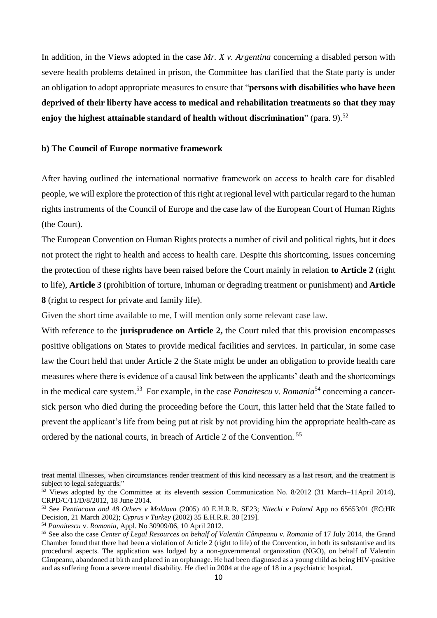In addition, in the Views adopted in the case *Mr. X v. Argentina* concerning a disabled person with severe health problems detained in prison, the Committee has clarified that the State party is under an obligation to adopt appropriate measures to ensure that "**persons with disabilities who have been deprived of their liberty have access to medical and rehabilitation treatments so that they may enjoy the highest attainable standard of health without discrimination**" (para. 9).<sup>52</sup>

#### **b) The Council of Europe normative framework**

After having outlined the international normative framework on access to health care for disabled people, we will explore the protection of this right at regional level with particular regard to the human rights instruments of the Council of Europe and the case law of the European Court of Human Rights (the Court).

The European Convention on Human Rights protects a number of civil and political rights, but it does not protect the right to health and access to health care. Despite this shortcoming, issues concerning the protection of these rights have been raised before the Court mainly in relation **to Article 2** (right to life), **Article 3** (prohibition of torture, inhuman or degrading treatment or punishment) and **Article 8** (right to respect for private and family life).

Given the short time available to me, I will mention only some relevant case law.

With reference to the **jurisprudence on Article 2**, the Court ruled that this provision encompasses positive obligations on States to provide medical facilities and services. In particular, in some case law the Court held that under Article 2 the State might be under an obligation to provide health care measures where there is evidence of a causal link between the applicants' death and the shortcomings in the medical care system. <sup>53</sup> For example, in the case *Panaitescu v. Romania*<sup>54</sup> concerning a cancersick person who died during the proceeding before the Court, this latter held that the State failed to prevent the applicant's life from being put at risk by not providing him the appropriate health-care as ordered by the national courts, in breach of Article 2 of the Convention. <sup>55</sup>

treat mental illnesses, when circumstances render treatment of this kind necessary as a last resort, and the treatment is subject to legal safeguards."

<sup>52</sup> Views adopted by the Committee at its eleventh session Communication No. 8/2012 (31 March–11April 2014), CRPD/C/11/D/8/2012, 18 June 2014.

<sup>53</sup> See *Pentiacova and 48 Others v Moldova* (2005) 40 E.H.R.R. SE23; *Nitecki v Poland* App no 65653/01 (ECtHR Decision, 21 March 2002); *Cyprus v Turkey* (2002) 35 E.H.R.R. 30 [219].

<sup>54</sup> *Panaitescu* v. *Romania*, Appl. No 30909/06, 10 April 2012.

<sup>55</sup> See also the case *Center of Legal Resources on behalf of Valentin Câmpeanu v. Romania* of 17 July 2014, the Grand Chamber found that there had been a violation of Article 2 (right to life) of the Convention, in both its substantive and its procedural aspects. The application was lodged by a non-governmental organization (NGO), on behalf of Valentin Câmpeanu, abandoned at birth and placed in an orphanage. He had been diagnosed as a young child as being HIV-positive and as suffering from a severe mental disability. He died in 2004 at the age of 18 in a psychiatric hospital.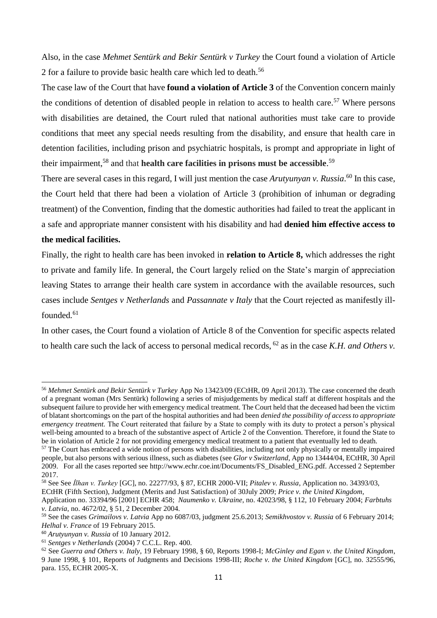Also, in the case *Mehmet Sentürk and Bekir Sentürk v Turkey* the Court found a violation of Article 2 for a failure to provide basic health care which led to death.<sup>56</sup>

The case law of the Court that have **found a violation of Article 3** of the Convention concern mainly the conditions of detention of disabled people in relation to access to health care.<sup>57</sup> Where persons with disabilities are detained, the Court ruled that national authorities must take care to provide conditions that meet any special needs resulting from the disability, and ensure that health care in detention facilities, including prison and psychiatric hospitals, is prompt and appropriate in light of their impairment, <sup>58</sup> and that **health care facilities in prisons must be accessible**. 59

There are several cases in this regard, I will just mention the case *Arutyunyan v. Russia*. <sup>60</sup> In this case, the Court held that there had been a violation of Article 3 (prohibition of inhuman or degrading treatment) of the Convention, finding that the domestic authorities had failed to treat the applicant in a safe and appropriate manner consistent with his disability and had **denied him effective access to** 

# **the medical facilities.**

 $\overline{a}$ 

Finally, the right to health care has been invoked in **relation to Article 8,** which addresses the right to private and family life. In general, the Court largely relied on the State's margin of appreciation leaving States to arrange their health care system in accordance with the available resources, such cases include *Sentges v Netherlands* and *Passannate v Italy* that the Court rejected as manifestly illfounded*.* 61

In other cases, the Court found a violation of Article 8 of the Convention for specific aspects related to health care such the lack of access to personal medical records, <sup>62</sup> as in the case *K.H. and Others v.* 

ECtHR (Fifth Section), Judgment (Merits and Just Satisfaction) of 30July 2009; *Price v. the United Kingdom*,

<sup>56</sup> *Mehmet Sentürk and Bekir Sentürk v Turkey* App No 13423/09 (ECtHR, 09 April 2013). The case concerned the death of a pregnant woman (Mrs Sentürk) following a series of misjudgements by medical staff at different hospitals and the subsequent failure to provide her with emergency medical treatment. The Court held that the deceased had been the victim of blatant shortcomings on the part of the hospital authorities and had been *denied the possibility of access to appropriate emergency treatment.* The Court reiterated that failure by a State to comply with its duty to protect a person's physical well-being amounted to a breach of the substantive aspect of Article 2 of the Convention. Therefore, it found the State to be in violation of Article 2 for not providing emergency medical treatment to a patient that eventually led to death.

<sup>&</sup>lt;sup>57</sup> The Court has embraced a wide notion of persons with disabilities, including not only physically or mentally impaired people, but also persons with serious illness, such as diabetes (see *Glor v Switzerland*, App no 13444/04, ECtHR, 30 April 2009. For all the cases reported see [http://www.echr.coe.int/Documents/FS\\_Disabled\\_ENG.pdf. Accessed 2 September](http://www.echr.coe.int/Documents/FS_Disabled_ENG.pdf.%20Accessed%202%20September%202017)  [2017.](http://www.echr.coe.int/Documents/FS_Disabled_ENG.pdf.%20Accessed%202%20September%202017)

<sup>58</sup> See See *İlhan v. Turkey* [GC], no. 22277/93, § 87, ECHR 2000-VII; *Pitalev v. Russia*, Application no. 34393/03,

Application no. 33394/96 [2001] ECHR 458; *Naumenko v. Ukraine*, no. 42023/98, § 112, 10 February 2004; *Farbtuhs v. Latvia*, no. 4672/02, § 51, 2 December 2004.

<sup>59</sup> See the cases *Grimailovs v. Latvia* App no 6087/03, judgment 25.6.2013; *Semikhvostov v. Russia* of 6 February 2014; *Helhal v. France* of 19 February 2015.

<sup>60</sup> *Arutyunyan v. Russia* of 10 January 2012.

<sup>61</sup> *Sentges v Netherlands* (2004) 7 C.C.L. Rep. 400.

<sup>62</sup> See *Guerra and Others v. Italy*, 19 February 1998, § 60, Reports 1998-I; *McGinley and Egan v. the United Kingdom*, 9 June 1998, § 101, Reports of Judgments and Decisions 1998-III; *Roche v. the United Kingdom* [GC], no. [32555/96,](http://hudoc.echr.coe.int/eng#{"appno":["32555/96"]}) para. 155, ECHR 2005-X.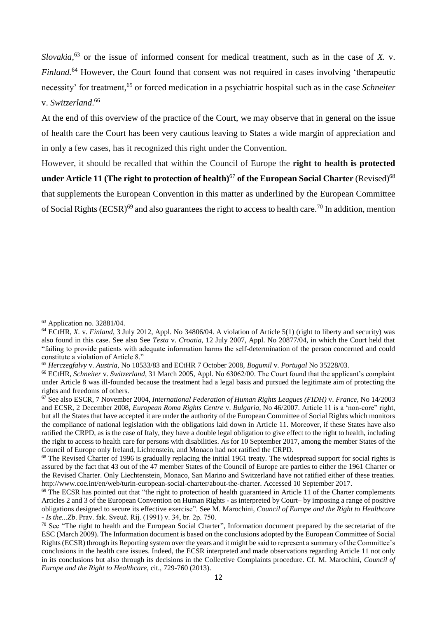*Slovakia*, <sup>63</sup> or the issue of informed consent for medical treatment, such as in the case of *X.* v. *Finland.*<sup>64</sup> However, the Court found that consent was not required in cases involving 'therapeutic necessity' for treatment, <sup>65</sup> or forced medication in a psychiatric hospital such as in the case *Schneiter* v. *Switzerland*. 66

At the end of this overview of the practice of the Court, we may observe that in general on the issue of health care the Court has been very cautious leaving to States a wide margin of appreciation and in only a few cases, has it recognized this right under the Convention.

However, it should be recalled that within the Council of Europe the **right to health is protected under Article 11 (The right to protection of health)<sup>67</sup> of the European Social Charter (Revised)<sup>68</sup>** that supplements the European Convention in this matter as underlined by the European Committee of Social Rights (ECSR)<sup>69</sup> and also guarantees the right to access to health care.<sup>70</sup> In addition, mention

 $63$  Application no. 32881/04.

<sup>64</sup> ECtHR, *X.* v. *Finland*, 3 July 2012, Appl. No 34806/04. A violation of Article 5(1) (right to liberty and security) was also found in this case. See also See *Testa* v. *Croatia*, 12 July 2007, Appl. No 20877/04, in which the Court held that "failing to provide patients with adequate information harms the self-determination of the person concerned and could constitute a violation of Article 8."

<sup>65</sup> *Herczegfalvy* v. *Austria*, No 10533/83 and ECtHR 7 October 2008, *Bogumil* v. *Portugal* No 35228/03.

<sup>66</sup> ECtHR, *Schneiter* v. *Switzerland*, 31 March 2005, Appl. No 63062/00. The Court found that the applicant's complaint under Article 8 was ill-founded because the treatment had a legal basis and pursued the legitimate aim of protecting the rights and freedoms of others.

<sup>67</sup> See also ESCR, 7 November 2004, *International Federation of Human Rights Leagues (FIDH)* v. *France*, No 14/2003 and ECSR, 2 December 2008, *European Roma Rights Centre* v. *Bulgaria*, No 46/2007. Article 11 is a 'non-core" right, but all the States that have accepted it are under the authority of the European Committee of Social Rights which monitors the compliance of national legislation with the obligations laid down in Article 11. Moreover, if these States have also ratified the CRPD, as is the case of Italy, they have a double legal obligation to give effect to the right to health, including the right to access to health care for persons with disabilities. As for 10 September 2017, among the member States of the Council of Europe only Ireland, Lichtenstein, and Monaco had not ratified the CRPD.

<sup>&</sup>lt;sup>68</sup> The Revised Charter of 1996 is gradually replacing the initial 1961 treaty. The widespread support for social rights is assured by the fact that 43 out of the [47 member States of the Council of Europe](http://www.coe.int/en/web/portal/47-members-states) are parties to either the 1961 Charter or the Revised Charter. Only Liechtenstein, Monaco, San Marino and Switzerland have not ratified either of these treaties. [http://www.coe.int/en/web/turin-european-social-charter/about-the-charter. Accessed 10 September 2017.](http://www.coe.int/en/web/turin-european-social-charter/about-the-charter.%20Accessed%2010%20September%202017)

 $69$  The ECSR has pointed out that "the right to protection of health guaranteed in Article 11 of the Charter complements Articles 2 and 3 of the European Convention on Human Rights - as interpreted by Court– by imposing a range of positive obligations designed to secure its effective exercise". See M. Marochini, *Council of Europe and the Right to Healthcare - Is the...Zb*. Prav. fak. Sveuč. Rij. (1991) v. 34, br. 2p. 750.

<sup>&</sup>lt;sup>70</sup> See "The right to health and the European Social Charter", Information document prepared by the secretariat of the ESC (March 2009). The Information document is based on the conclusions adopted by the European Committee of Social Rights (ECSR) through its Reporting system over the years and it might be said to represent a summary of the Committee's conclusions in the health care issues. Indeed, the ECSR interpreted and made observations regarding Article 11 not only in its conclusions but also through its decisions in the Collective Complaints procedure. Cf. M. Marochini, *Council of Europe and the Right to Healthcare,* cit., 729-760 (2013).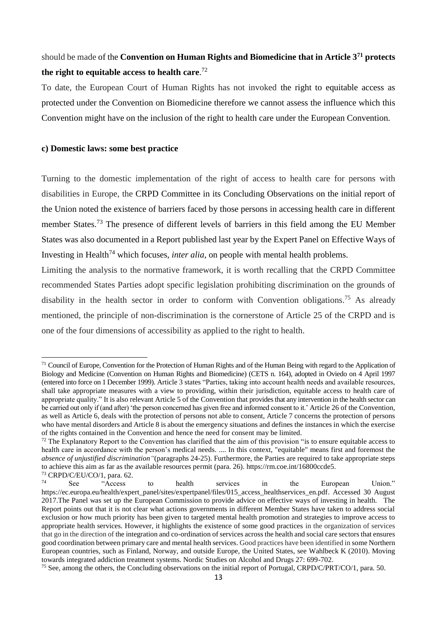# should be made of the **Convention on Human Rights and Biomedicine that in Article 3<sup>71</sup> protects the right to equitable access to health care**. 72

To date, the European Court of Human Rights has not invoked the right to equitable access as protected under the Convention on Biomedicine therefore we cannot assess the influence which this Convention might have on the inclusion of the right to health care under the European Convention.

#### **c) Domestic laws: some best practice**

Turning to the domestic implementation of the right of access to health care for persons with disabilities in Europe, the CRPD Committee in its Concluding Observations on the initial report of the Union noted the existence of barriers faced by those persons in accessing health care in different member States.<sup>73</sup> The presence of different levels of barriers in this field among the EU Member States was also documented in a Report published last year by the Expert Panel on Effective Ways of Investing in Health<sup>74</sup> which focuses, *inter alia*, on people with mental health problems.

Limiting the analysis to the normative framework, it is worth recalling that the CRPD Committee recommended States Parties adopt specific legislation prohibiting discrimination on the grounds of disability in the health sector in order to conform with Convention obligations.<sup>75</sup> As already mentioned, the principle of non-discrimination is the cornerstone of Article 25 of the CRPD and is one of the four dimensions of accessibility as applied to the right to health.

<sup>71</sup> Council of Europe*,* Convention for the Protection of Human Rights and of the Human Being with regard to the Application of Biology and Medicine (Convention on Human Rights and Biomedicine) (CETS n. 164), adopted in Oviedo on 4 April 1997 (entered into force on 1 December 1999). Article 3 states "Parties, taking into account health needs and available resources, shall take appropriate measures with a view to providing, within their jurisdiction, equitable access to health care of appropriate quality." It is also relevant Article 5 of the Convention that provides that any intervention in the health sector can be carried out only if (and after) 'the person concerned has given free and informed consent to it.' Article 26 of the Convention, as well as Article 6, deals with the protection of persons not able to consent, Article 7 concerns the protection of persons who have mental disorders and Article 8 is about the emergency situations and defines the instances in which the exercise of the rights contained in the Convention and hence the need for consent may be limited.

<sup>&</sup>lt;sup>72</sup> The Explanatory Report to the Convention has clarified that the aim of this provision "is to ensure equitable access to health care in accordance with the person's medical needs. .... In this context, "equitable" means first and foremost the *absence of unjustified discrimination"*(paragraphs 24-25). Furthermore, the Parties are required to take appropriate steps to achieve this aim as far as the available resources permit (para. 26). [https://rm.coe.int/16800ccde5.](https://rm.coe.int/16800ccde5)

 $^{73}$  CRPD/C/EU/CO/1, para. 62.<br>
See "Access"

<sup>74</sup> See "Access to health services in the European Union." [https://ec.europa.eu/health/expert\\_panel/sites/expertpanel/files/015\\_access\\_healthservices\\_en.pdf.](https://ec.europa.eu/health/expert_panel/sites/expertpanel/files/015_access_healthservices_en.pdf) Accessed 30 August 2017.The Panel was set up the European Commission to provide advice on effective ways of investing in health. The Report points out that it is not clear what actions governments in different Member States have taken to address social exclusion or how much priority has been given to targeted mental health promotion and strategies to improve access to appropriate health services. However, it highlights the existence of some good practices in the organization of services that go in the direction of the integration and co-ordination of services across the health and social care sectors that ensures good coordination between primary care and mental health services. Good practices have been identified in some Northern European countries, such as Finland, Norway, and outside Europe, the United States, see Wahlbeck K (2010). Moving towards integrated addiction treatment systems. Nordic Studies on Alcohol and Drugs 27: 699-702.

<sup>&</sup>lt;sup>75</sup> See, among the others, the Concluding observations on the initial report of Portugal, CRPD/C/PRT/CO/1, para. 50.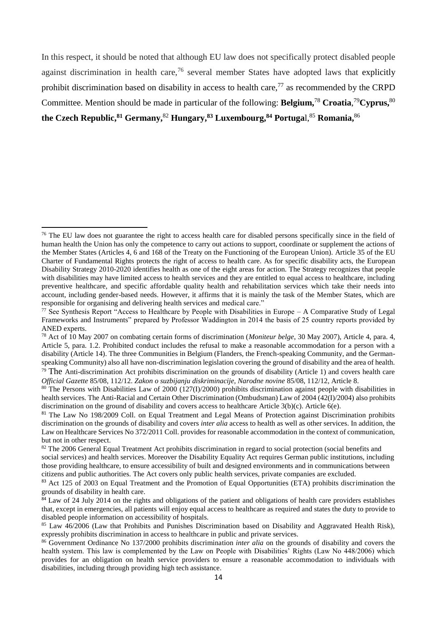In this respect, it should be noted that although EU law does not specifically protect disabled people against discrimination in health care,<sup>76</sup> several member States have adopted laws that explicitly prohibit discrimination based on disability in access to health care,  $^{77}$  as recommended by the CRPD Committee. Mention should be made in particular of the following: **Belgium,**<sup>78</sup> **Croatia**, <sup>79</sup>**Cyprus,**<sup>80</sup> **the Czech Republic,<sup>81</sup> Germany,**<sup>82</sup> **Hungary,<sup>83</sup> Luxembourg,<sup>84</sup> Portuga**l,<sup>85</sup> **Romania,**<sup>86</sup>

1

*Official Gazette* 85/08, 112/12. *Zakon o suzbijanju diskriminacije, Narodne novine* 85/08, 112/12, Article 8.

<sup>&</sup>lt;sup>76</sup> The EU law does not guarantee the right to access health care for disabled persons specifically since in the field of human health the Union has only the competence to carry out actions to support, coordinate or supplement the actions of the Member States (Articles 4, 6 and 168 of the Treaty on the Functioning of the European Union). Article 35 of the EU Charter of Fundamental Rights protects the right of access to health care. As for specific disability acts, the European Disability Strategy 2010-2020 identifies health as one of the eight areas for action. The Strategy recognizes that people with disabilities may have limited access to health services and they are entitled to equal access to healthcare, including preventive healthcare, and specific affordable quality health and rehabilitation services which take their needs into account, including gender-based needs. However, it affirms that it is mainly the task of the Member States, which are responsible for organising and delivering health services and medical care."

 $77$  See Synthesis Report "Access to Healthcare by People with Disabilities in Europe – A Comparative Study of Legal Frameworks and Instruments" prepared by Professor Waddington in 2014 the basis of 25 country reports provided by ANED experts.

<sup>78</sup> Act of 10 May 2007 on combating certain forms of discrimination (*Moniteur belge*, 30 May 2007), Article 4, para. 4, Article 5, para. 1.2. Prohibited conduct includes the refusal to make a reasonable accommodation for a person with a disability (Article 14). The three Communities in Belgium (Flanders, the French-speaking Community, and the Germanspeaking Community) also all have non-discrimination legislation covering the ground of disability and the area of health.  $79$  The Anti-discrimination Act prohibits discrimination on the grounds of disability (Article 1) and covers health care

 $80$  The Persons with Disabilities Law of 2000 (127(I)/2000) prohibits discrimination against people with disabilities in health services. The Anti-Racial and Certain Other Discrimination (Ombudsman) Law of 2004 (42(I)/2004) also prohibits discrimination on the ground of disability and covers access to healthcare Article 3(b)(c). Article 6(e).

<sup>81</sup> The Law No 198/2009 Coll. on Equal Treatment and Legal Means of Protection against Discrimination prohibits discrimination on the grounds of disability and covers *inter alia* access to health as well as other services. In addition, the Law on Healthcare Services No 372/2011 Coll. provides for reasonable accommodation in the context of communication, but not in other respect.

<sup>&</sup>lt;sup>82</sup> The 2006 General Equal Treatment Act prohibits discrimination in regard to social protection (social benefits and social services) and health services. Moreover the Disability Equality Act requires German public institutions, including those providing healthcare, to ensure accessibility of built and designed environments and in communications between citizens and public authorities. The Act covers only public health services, private companies are excluded.

<sup>&</sup>lt;sup>83</sup> Act 125 of 2003 on Equal Treatment and the Promotion of Equal Opportunities (ETA) prohibits discrimination the grounds of disability in health care.

<sup>&</sup>lt;sup>84</sup> Law of 24 July 2014 on the rights and obligations of the patient and obligations of health care providers establishes that, except in emergencies, all patients will enjoy equal access to healthcare as required and states the duty to provide to disabled people information on accessibility of hospitals.

<sup>&</sup>lt;sup>85</sup> Law 46/2006 (Law that Prohibits and Punishes Discrimination based on Disability and Aggravated Health Risk), expressly prohibits discrimination in access to healthcare in public and private services.

<sup>86</sup> Government Ordinance No 137/2000 prohibits discrimination *inter alia* on the grounds of disability and covers the health system. This law is complemented by the Law on People with Disabilities' Rights (Law No 448/2006) which provides for an obligation on health service providers to ensure a reasonable accommodation to individuals with disabilities, including through providing high tech assistance.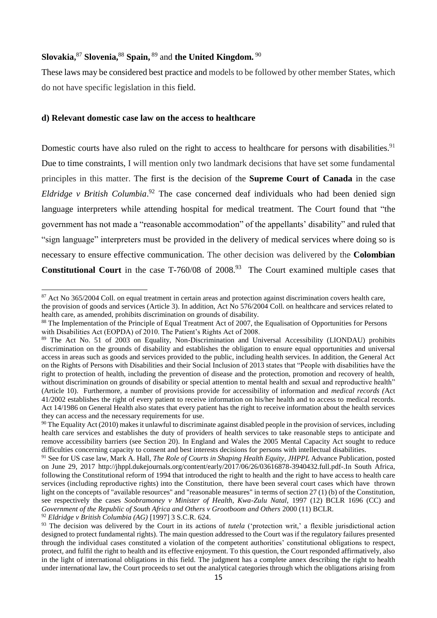# **Slovakia,** <sup>87</sup> **Slovenia,**<sup>88</sup> **Spain,** <sup>89</sup> and **the United Kingdom.** <sup>90</sup>

These laws may be considered best practice and models to be followed by other member States, which do not have specific legislation in this field.

## **d) Relevant domestic case law on the access to healthcare**

Domestic courts have also ruled on the right to access to healthcare for persons with disabilities.<sup>91</sup> Due to time constraints, I will mention only two landmark decisions that have set some fundamental principles in this matter. The first is the decision of the **Supreme Court of Canada** in the case *Eldridge v British Columbia*. <sup>92</sup> The case concerned deaf individuals who had been denied sign language interpreters while attending hospital for medical treatment. The Court found that "the government has not made a "reasonable accommodation" of the appellants' disability" and ruled that "sign language" interpreters must be provided in the delivery of medical services where doing so is necessary to ensure effective communication. The other decision was delivered by the **Colombian**  Constitutional Court in the case T-760/08 of 2008.<sup>93</sup> The Court examined multiple cases that

**.** 

<sup>92</sup> *Eldridge v British Columbia (AG)* [\[1997\] 3 S.C.R. 624.](https://en.wikipedia.org/wiki/Case_citation#Canada)

<sup>&</sup>lt;sup>87</sup> Act No 365/2004 Coll. on equal treatment in certain areas and protection against discrimination covers health care, the provision of goods and services (Article 3). In addition, Act No 576/2004 Coll. on healthcare and services related to

health care, as amended, prohibits discrimination on grounds of disability.

<sup>&</sup>lt;sup>88</sup> The Implementation of the Principle of Equal Treatment Act of 2007, the Equalisation of Opportunities for Persons with Disabilities Act (EOPDA) of 2010. The Patient's Rights Act of 2008.

<sup>89</sup> The Act No. 51 of 2003 on Equality, Non-Discrimination and Universal Accessibility (LIONDAU) prohibits discrimination on the grounds of disability and establishes the obligation to ensure equal opportunities and universal access in areas such as goods and services provided to the public, including health services. In addition, the General Act on the Rights of Persons with Disabilities and their Social Inclusion of 2013 states that "People with disabilities have the right to protection of health, including the prevention of disease and the protection, promotion and recovery of health, without discrimination on grounds of disability or special attention to mental health and sexual and reproductive health" (Article 10). Furthermore, a number of provisions provide for accessibility of information and *medical records (*Act 41/2002 establishes the right of every patient to receive information on his/her health and to access to medical records. Act 14/1986 on General Health also states that every patient has the right to receive information about the health services they can access and the necessary requirements for use.

 $90$  The Equality Act (2010) makes it unlawful to discriminate against disabled people in the provision of services, including health care services and establishes the duty of providers of health services to take reasonable steps to anticipate and remove accessibility barriers (see Section 20). In England and Wales the 2005 Mental Capacity Act sought to reduce difficulties concerning capacity to consent and best interests decisions for persons with intellectual disabilities.

<sup>91</sup> See for US case law, Mark A. Hall, *The Role of Courts in Shaping Health Equity*, *JHPPL* Advance Publication, posted on June 29, 2017<http://jhppl.dukejournals.org/content/early/2017/06/26/03616878-3940432.full.pdf-.In> South Africa, following the Constitutional reform of 1994 that introduced the right to health and the right to have access to health care services (including reproductive rights) into the Constitution, there have been several court cases which have thrown light on the concepts of "available resources" and "reasonable measures" in terms of section 27 (1) (b) of the Constitution, see respectively the cases *Soobramoney v Minister of Health, Kwa-Zulu Natal*, 1997 (12) BCLR 1696 (CC) and *Government of the Republic of South Africa and Others v Grootboom and Others* 2000 (11) BCLR.

<sup>&</sup>lt;sup>93</sup> The decision was delivered by the Court in its actions of *tutela* ('protection writ,' a flexible jurisdictional action designed to protect fundamental rights). The main question addressed to the Court was if the regulatory failures presented through the individual cases constituted a violation of the competent authorities' constitutional obligations to respect, protect, and fulfil the right to health and its effective enjoyment. To this question, the Court responded affirmatively, also in the light of international obligations in this field. The judgment has a complete annex describing the right to health under international law, the Court proceeds to set out the analytical categories through which the obligations arising from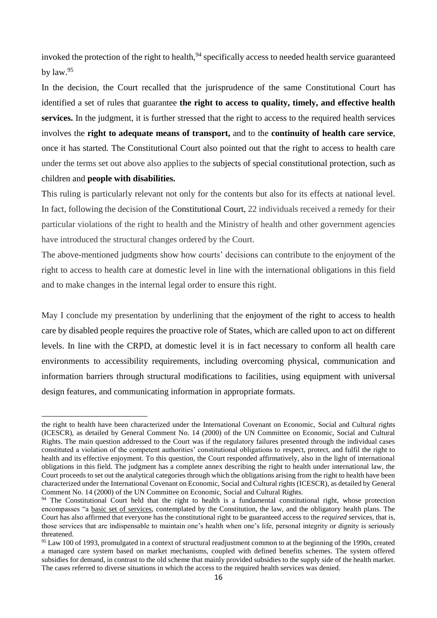invoked the protection of the right to health,<sup>94</sup> specifically access to needed health service guaranteed by law. 95

In the decision, the Court recalled that the jurisprudence of the same Constitutional Court has identified a set of rules that guarantee **the right to access to quality, timely, and effective health services.** In the judgment, it is further stressed that the right to access to the required health services involves the **right to adequate means of transport,** and to the **continuity of health care service**, once it has started. The Constitutional Court also pointed out that the right to access to health care under the terms set out above also applies to the subjects of special constitutional protection, such as children and **people with disabilities.** 

This ruling is particularly relevant not only for the contents but also for its effects at national level. In fact, following the decision of the Constitutional Court, 22 individuals received a remedy for their particular violations of the right to health and the Ministry of health and other government agencies have introduced the structural changes ordered by the Court.

The above-mentioned judgments show how courts' decisions can contribute to the enjoyment of the right to access to health care at domestic level in line with the international obligations in this field and to make changes in the internal legal order to ensure this right.

May I conclude my presentation by underlining that the enjoyment of the right to access to health care by disabled people requires the proactive role of States, which are called upon to act on different levels. In line with the CRPD, at domestic level it is in fact necessary to conform all health care environments to accessibility requirements, including overcoming physical, communication and information barriers through structural modifications to facilities, using equipment with universal design features, and communicating information in appropriate formats.

the right to health have been characterized under the International Covenant on Economic, Social and Cultural rights (ICESCR), as detailed by General Comment No. 14 (2000) of the UN Committee on Economic, Social and Cultural Rights. The main question addressed to the Court was if the regulatory failures presented through the individual cases constituted a violation of the competent authorities' constitutional obligations to respect, protect, and fulfil the right to health and its effective enjoyment. To this question, the Court responded affirmatively, also in the light of international obligations in this field. The judgment has a complete annex describing the right to health under international law, the Court proceeds to set out the analytical categories through which the obligations arising from the right to health have been characterized under the International Covenant on Economic, Social and Cultural rights (ICESCR), as detailed by General Comment No. 14 (2000) of the UN Committee on Economic, Social and Cultural Rights.

<sup>&</sup>lt;sup>94</sup> The Constitutional Court held that the right to health is a fundamental constitutional right, whose protection encompasses "a basic set of services, contemplated by the Constitution, the law, and the obligatory health plans. The Court has also affirmed that everyone has the constitutional right to be guaranteed access to the *required* services, that is, those services that are indispensable to maintain one's health when one's life, personal integrity or dignity is seriously threatened.

<sup>&</sup>lt;sup>95</sup> Law 100 of 1993, promulgated in a context of structural readjustment common to at the beginning of the 1990s, created a managed care system based on market mechanisms, coupled with defined benefits schemes. The system offered subsidies for demand, in contrast to the old scheme that mainly provided subsidies to the supply side of the health market. The cases referred to diverse situations in which the access to the required health services was denied.